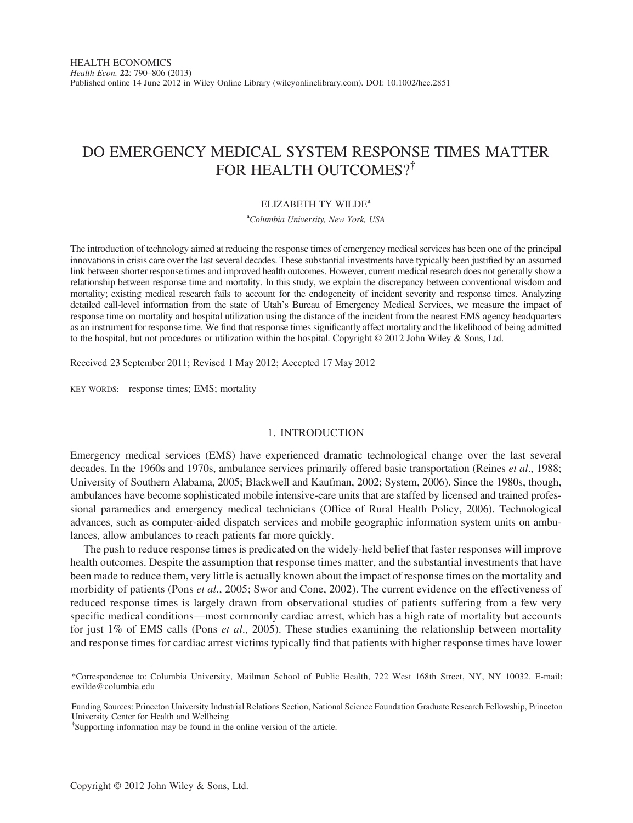# DO EMERGENCY MEDICAL SYSTEM RESPONSE TIMES MATTER FOR HEALTH OUTCOMES?<sup>†</sup>

# ELIZABETH TY WILDE<sup>a</sup>

<sup>a</sup>Columbia University, New York, USA

The introduction of technology aimed at reducing the response times of emergency medical services has been one of the principal innovations in crisis care over the last several decades. These substantial investments have typically been justified by an assumed link between shorter response times and improved health outcomes. However, current medical research does not generally show a relationship between response time and mortality. In this study, we explain the discrepancy between conventional wisdom and mortality; existing medical research fails to account for the endogeneity of incident severity and response times. Analyzing detailed call-level information from the state of Utah's Bureau of Emergency Medical Services, we measure the impact of response time on mortality and hospital utilization using the distance of the incident from the nearest EMS agency headquarters as an instrument for response time. We find that response times significantly affect mortality and the likelihood of being admitted to the hospital, but not procedures or utilization within the hospital. Copyright © 2012 John Wiley & Sons, Ltd.

Received 23 September 2011; Revised 1 May 2012; Accepted 17 May 2012

KEY WORDS: response times; EMS; mortality

# 1. INTRODUCTION

Emergency medical services (EMS) have experienced dramatic technological change over the last several decades. In the 1960s and 1970s, ambulance services primarily offered basic transportation (Reines et al., 1988; University of Southern Alabama, 2005; Blackwell and Kaufman, 2002; System, 2006). Since the 1980s, though, ambulances have become sophisticated mobile intensive-care units that are staffed by licensed and trained professional paramedics and emergency medical technicians (Office of Rural Health Policy, 2006). Technological advances, such as computer-aided dispatch services and mobile geographic information system units on ambulances, allow ambulances to reach patients far more quickly.

The push to reduce response times is predicated on the widely-held belief that faster responses will improve health outcomes. Despite the assumption that response times matter, and the substantial investments that have been made to reduce them, very little is actually known about the impact of response times on the mortality and morbidity of patients (Pons et al., 2005; Swor and Cone, 2002). The current evidence on the effectiveness of reduced response times is largely drawn from observational studies of patients suffering from a few very specific medical conditions—most commonly cardiac arrest, which has a high rate of mortality but accounts for just 1% of EMS calls (Pons et al., 2005). These studies examining the relationship between mortality and response times for cardiac arrest victims typically find that patients with higher response times have lower

<sup>\*</sup>Correspondence to: Columbia University, Mailman School of Public Health, 722 West 168th Street, NY, NY 10032. E-mail: ewilde@columbia.edu

Funding Sources: Princeton University Industrial Relations Section, National Science Foundation Graduate Research Fellowship, Princeton University Center for Health and Wellbeing

<sup>†</sup> Supporting information may be found in the online version of the article.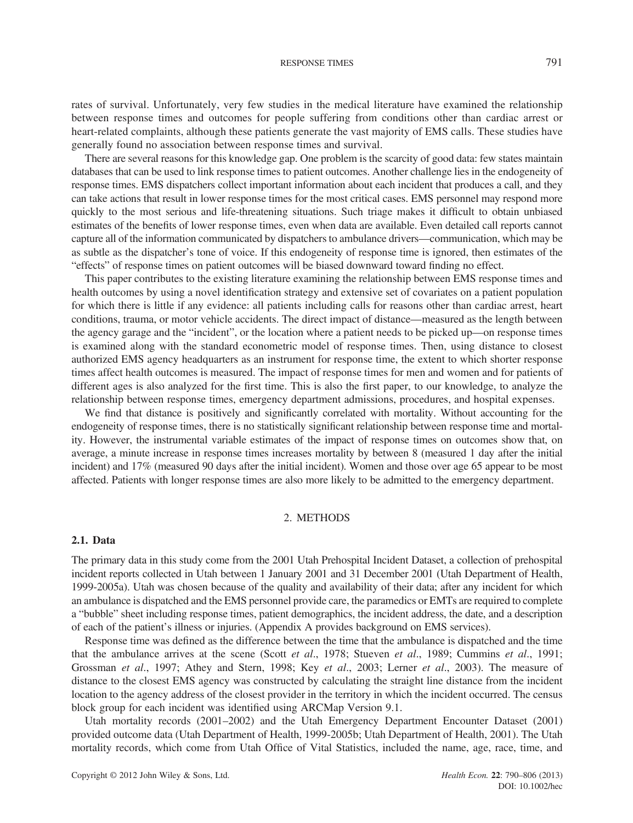rates of survival. Unfortunately, very few studies in the medical literature have examined the relationship between response times and outcomes for people suffering from conditions other than cardiac arrest or heart-related complaints, although these patients generate the vast majority of EMS calls. These studies have generally found no association between response times and survival.

There are several reasons for this knowledge gap. One problem is the scarcity of good data: few states maintain databases that can be used to link response times to patient outcomes. Another challenge lies in the endogeneity of response times. EMS dispatchers collect important information about each incident that produces a call, and they can take actions that result in lower response times for the most critical cases. EMS personnel may respond more quickly to the most serious and life-threatening situations. Such triage makes it difficult to obtain unbiased estimates of the benefits of lower response times, even when data are available. Even detailed call reports cannot capture all of the information communicated by dispatchers to ambulance drivers—communication, which may be as subtle as the dispatcher's tone of voice. If this endogeneity of response time is ignored, then estimates of the "effects" of response times on patient outcomes will be biased downward toward finding no effect.

This paper contributes to the existing literature examining the relationship between EMS response times and health outcomes by using a novel identification strategy and extensive set of covariates on a patient population for which there is little if any evidence: all patients including calls for reasons other than cardiac arrest, heart conditions, trauma, or motor vehicle accidents. The direct impact of distance—measured as the length between the agency garage and the "incident", or the location where a patient needs to be picked up—on response times is examined along with the standard econometric model of response times. Then, using distance to closest authorized EMS agency headquarters as an instrument for response time, the extent to which shorter response times affect health outcomes is measured. The impact of response times for men and women and for patients of different ages is also analyzed for the first time. This is also the first paper, to our knowledge, to analyze the relationship between response times, emergency department admissions, procedures, and hospital expenses.

We find that distance is positively and significantly correlated with mortality. Without accounting for the endogeneity of response times, there is no statistically significant relationship between response time and mortality. However, the instrumental variable estimates of the impact of response times on outcomes show that, on average, a minute increase in response times increases mortality by between 8 (measured 1 day after the initial incident) and 17% (measured 90 days after the initial incident). Women and those over age 65 appear to be most affected. Patients with longer response times are also more likely to be admitted to the emergency department.

# 2. METHODS

## 2.1. Data

The primary data in this study come from the 2001 Utah Prehospital Incident Dataset, a collection of prehospital incident reports collected in Utah between 1 January 2001 and 31 December 2001 (Utah Department of Health, 1999-2005a). Utah was chosen because of the quality and availability of their data; after any incident for which an ambulance is dispatched and the EMS personnel provide care, the paramedics or EMTs are required to complete a "bubble" sheet including response times, patient demographics, the incident address, the date, and a description of each of the patient's illness or injuries. (Appendix A provides background on EMS services).

Response time was defined as the difference between the time that the ambulance is dispatched and the time that the ambulance arrives at the scene (Scott et al., 1978; Stueven et al., 1989; Cummins et al., 1991; Grossman et al., 1997; Athey and Stern, 1998; Key et al., 2003; Lerner et al., 2003). The measure of distance to the closest EMS agency was constructed by calculating the straight line distance from the incident location to the agency address of the closest provider in the territory in which the incident occurred. The census block group for each incident was identified using ARCMap Version 9.1.

Utah mortality records (2001–2002) and the Utah Emergency Department Encounter Dataset (2001) provided outcome data (Utah Department of Health, 1999-2005b; Utah Department of Health, 2001). The Utah mortality records, which come from Utah Office of Vital Statistics, included the name, age, race, time, and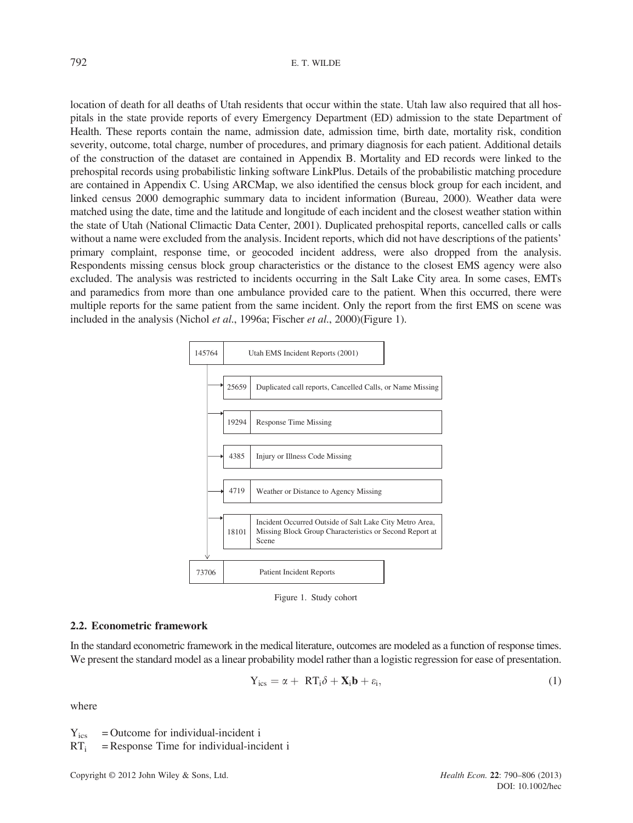location of death for all deaths of Utah residents that occur within the state. Utah law also required that all hospitals in the state provide reports of every Emergency Department (ED) admission to the state Department of Health. These reports contain the name, admission date, admission time, birth date, mortality risk, condition severity, outcome, total charge, number of procedures, and primary diagnosis for each patient. Additional details of the construction of the dataset are contained in Appendix B. Mortality and ED records were linked to the prehospital records using probabilistic linking software LinkPlus. Details of the probabilistic matching procedure are contained in Appendix C. Using ARCMap, we also identified the census block group for each incident, and linked census 2000 demographic summary data to incident information (Bureau, 2000). Weather data were matched using the date, time and the latitude and longitude of each incident and the closest weather station within the state of Utah (National Climactic Data Center, 2001). Duplicated prehospital reports, cancelled calls or calls without a name were excluded from the analysis. Incident reports, which did not have descriptions of the patients' primary complaint, response time, or geocoded incident address, were also dropped from the analysis. Respondents missing census block group characteristics or the distance to the closest EMS agency were also excluded. The analysis was restricted to incidents occurring in the Salt Lake City area. In some cases, EMTs and paramedics from more than one ambulance provided care to the patient. When this occurred, there were multiple reports for the same patient from the same incident. Only the report from the first EMS on scene was included in the analysis (Nichol et al., 1996a; Fischer et al., 2000)(Figure 1).



Figure 1. Study cohort

# 2.2. Econometric framework

In the standard econometric framework in the medical literature, outcomes are modeled as a function of response times. We present the standard model as a linear probability model rather than a logistic regression for ease of presentation.

$$
Y_{\text{ics}} = \alpha + RT_{\text{i}}\delta + X_{\text{i}}\mathbf{b} + \varepsilon_{\text{i}},\tag{1}
$$

where

 $Y_{\text{ics}}$  = Outcome for individual-incident i

 $RT_i$  = Response Time for individual-incident i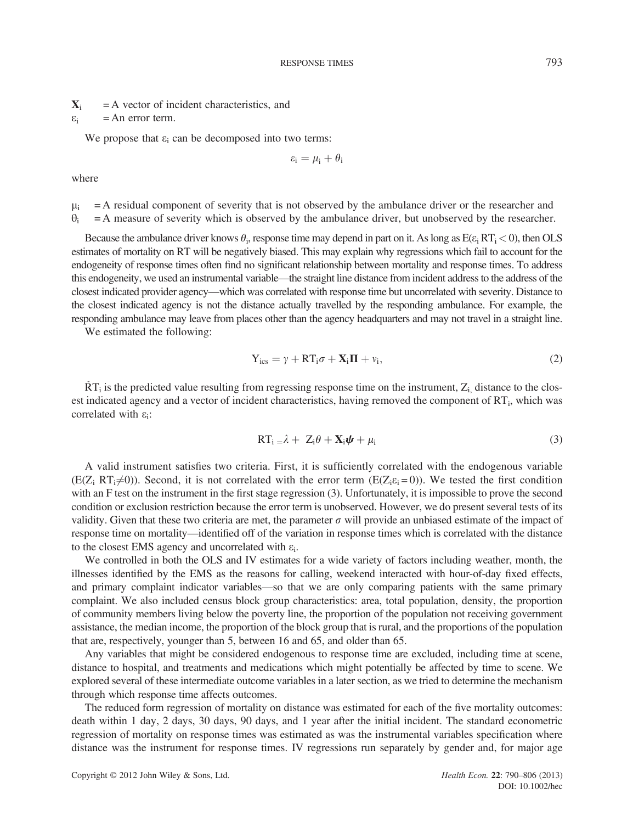$X_i$  = A vector of incident characteristics, and  $\varepsilon_i$  = An error term.

We propose that  $\varepsilon_i$  can be decomposed into two terms:

$$
\varepsilon_{\rm i}=\mu_{\rm i}+\theta_{\rm i}
$$

where

 $\mu_i$  = A residual component of severity that is not observed by the ambulance driver or the researcher and

 $\theta_i$  = A measure of severity which is observed by the ambulance driver, but unobserved by the researcher.

Because the ambulance driver knows  $\theta_i$ , response time may depend in part on it. As long as  $E(\epsilon_i RT_i < 0)$ , then OLS estimates of mortality on RT will be negatively biased. This may explain why regressions which fail to account for the endogeneity of response times often find no significant relationship between mortality and response times. To address this endogeneity, we used an instrumental variable—the straight line distance from incident address to the address of the closest indicated provider agency—which was correlated with response time but uncorrelated with severity. Distance to the closest indicated agency is not the distance actually travelled by the responding ambulance. For example, the responding ambulance may leave from places other than the agency headquarters and may not travel in a straight line.

We estimated the following:

$$
Y_{\text{ics}} = \gamma + RT_i \sigma + X_i \Pi + v_i,
$$
\n(2)

 $RT_i$  is the predicted value resulting from regressing response time on the instrument,  $Z_i$ , distance to the closest indicated agency and a vector of incident characteristics, having removed the component of RTi, which was correlated with  $\varepsilon_i$ :

$$
RT_{i} = \lambda + Z_{i}\theta + X_{i}\psi + \mu_{i}
$$
 (3)

A valid instrument satisfies two criteria. First, it is sufficiently correlated with the endogenous variable  $(E(Z_i R T_i \neq 0))$ . Second, it is not correlated with the error term  $(E(Z_i \varepsilon_i = 0))$ . We tested the first condition with an F test on the instrument in the first stage regression (3). Unfortunately, it is impossible to prove the second condition or exclusion restriction because the error term is unobserved. However, we do present several tests of its validity. Given that these two criteria are met, the parameter  $\sigma$  will provide an unbiased estimate of the impact of response time on mortality—identified off of the variation in response times which is correlated with the distance to the closest EMS agency and uncorrelated with  $\varepsilon_i$ .

We controlled in both the OLS and IV estimates for a wide variety of factors including weather, month, the illnesses identified by the EMS as the reasons for calling, weekend interacted with hour-of-day fixed effects, and primary complaint indicator variables—so that we are only comparing patients with the same primary complaint. We also included census block group characteristics: area, total population, density, the proportion of community members living below the poverty line, the proportion of the population not receiving government assistance, the median income, the proportion of the block group that is rural, and the proportions of the population that are, respectively, younger than 5, between 16 and 65, and older than 65.

Any variables that might be considered endogenous to response time are excluded, including time at scene, distance to hospital, and treatments and medications which might potentially be affected by time to scene. We explored several of these intermediate outcome variables in a later section, as we tried to determine the mechanism through which response time affects outcomes.

The reduced form regression of mortality on distance was estimated for each of the five mortality outcomes: death within 1 day, 2 days, 30 days, 90 days, and 1 year after the initial incident. The standard econometric regression of mortality on response times was estimated as was the instrumental variables specification where distance was the instrument for response times. IV regressions run separately by gender and, for major age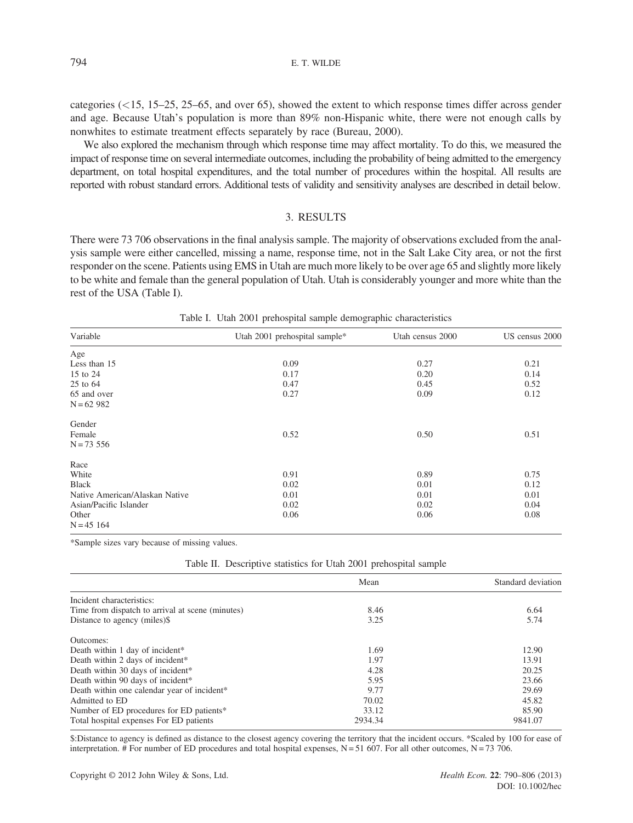categories  $\left( \langle 15, 15-25, 25-65, \langle 25, 65 \rangle \right)$ , showed the extent to which response times differ across gender and age. Because Utah's population is more than 89% non-Hispanic white, there were not enough calls by nonwhites to estimate treatment effects separately by race (Bureau, 2000).

We also explored the mechanism through which response time may affect mortality. To do this, we measured the impact of response time on several intermediate outcomes, including the probability of being admitted to the emergency department, on total hospital expenditures, and the total number of procedures within the hospital. All results are reported with robust standard errors. Additional tests of validity and sensitivity analyses are described in detail below.

# 3. RESULTS

There were 73 706 observations in the final analysis sample. The majority of observations excluded from the analysis sample were either cancelled, missing a name, response time, not in the Salt Lake City area, or not the first responder on the scene. Patients using EMS in Utah are much more likely to be over age 65 and slightly more likely to be white and female than the general population of Utah. Utah is considerably younger and more white than the rest of the USA (Table I).

| Variable                       | Utah 2001 prehospital sample* | Utah census 2000 | US census 2000 |
|--------------------------------|-------------------------------|------------------|----------------|
| Age                            |                               |                  |                |
| Less than 15                   | 0.09                          | 0.27             | 0.21           |
| 15 to 24                       | 0.17                          | 0.20             | 0.14           |
| 25 to 64                       | 0.47                          | 0.45             | 0.52           |
| 65 and over                    | 0.27                          | 0.09             | 0.12           |
| $N = 62982$                    |                               |                  |                |
| Gender                         |                               |                  |                |
| Female                         | 0.52                          | 0.50             | 0.51           |
| $N = 73,556$                   |                               |                  |                |
| Race                           |                               |                  |                |
| White                          | 0.91                          | 0.89             | 0.75           |
| <b>Black</b>                   | 0.02                          | 0.01             | 0.12           |
| Native American/Alaskan Native | 0.01                          | 0.01             | 0.01           |
| Asian/Pacific Islander         | 0.02                          | 0.02             | 0.04           |
| Other                          | 0.06                          | 0.06             | 0.08           |
| $N = 45164$                    |                               |                  |                |

Table I. Utah 2001 prehospital sample demographic characteristics

\*Sample sizes vary because of missing values.

| Table II. Descriptive statistics for Utah 2001 prehospital sample |  |  |  |  |
|-------------------------------------------------------------------|--|--|--|--|
|-------------------------------------------------------------------|--|--|--|--|

|                                                  | Mean    | Standard deviation |
|--------------------------------------------------|---------|--------------------|
| Incident characteristics:                        |         |                    |
| Time from dispatch to arrival at scene (minutes) | 8.46    | 6.64               |
| Distance to agency (miles)\$                     | 3.25    | 5.74               |
| Outcomes:                                        |         |                    |
| Death within 1 day of incident*                  | 1.69    | 12.90              |
| Death within 2 days of incident*                 | 1.97    | 13.91              |
| Death within 30 days of incident*                | 4.28    | 20.25              |
| Death within 90 days of incident*                | 5.95    | 23.66              |
| Death within one calendar year of incident*      | 9.77    | 29.69              |
| Admitted to ED                                   | 70.02   | 45.82              |
| Number of ED procedures for ED patients*         | 33.12   | 85.90              |
| Total hospital expenses For ED patients          | 2934.34 | 9841.07            |

\$:Distance to agency is defined as distance to the closest agency covering the territory that the incident occurs. \*Scaled by 100 for ease of interpretation. # For number of ED procedures and total hospital expenses,  $N = 51,607$ . For all other outcomes,  $N = 73,706$ .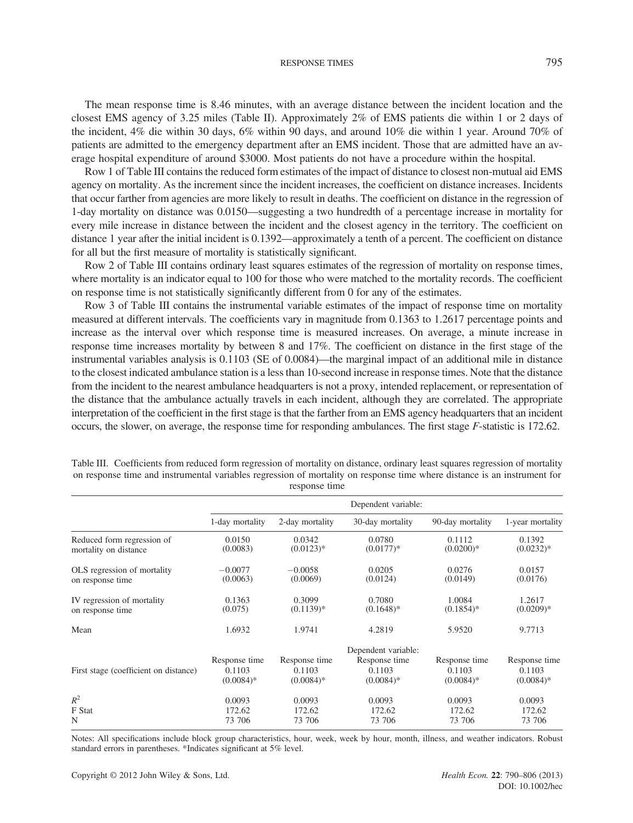The mean response time is 8.46 minutes, with an average distance between the incident location and the closest EMS agency of 3.25 miles (Table II). Approximately 2% of EMS patients die within 1 or 2 days of the incident, 4% die within 30 days, 6% within 90 days, and around 10% die within 1 year. Around 70% of patients are admitted to the emergency department after an EMS incident. Those that are admitted have an average hospital expenditure of around \$3000. Most patients do not have a procedure within the hospital.

Row 1 of Table III contains the reduced form estimates of the impact of distance to closest non-mutual aid EMS agency on mortality. As the increment since the incident increases, the coefficient on distance increases. Incidents that occur farther from agencies are more likely to result in deaths. The coefficient on distance in the regression of 1-day mortality on distance was 0.0150—suggesting a two hundredth of a percentage increase in mortality for every mile increase in distance between the incident and the closest agency in the territory. The coefficient on distance 1 year after the initial incident is 0.1392—approximately a tenth of a percent. The coefficient on distance for all but the first measure of mortality is statistically significant.

Row 2 of Table III contains ordinary least squares estimates of the regression of mortality on response times, where mortality is an indicator equal to 100 for those who were matched to the mortality records. The coefficient on response time is not statistically significantly different from 0 for any of the estimates.

Row 3 of Table III contains the instrumental variable estimates of the impact of response time on mortality measured at different intervals. The coefficients vary in magnitude from 0.1363 to 1.2617 percentage points and increase as the interval over which response time is measured increases. On average, a minute increase in response time increases mortality by between 8 and 17%. The coefficient on distance in the first stage of the instrumental variables analysis is 0.1103 (SE of 0.0084)—the marginal impact of an additional mile in distance to the closest indicated ambulance station is a less than 10-second increase in response times. Note that the distance from the incident to the nearest ambulance headquarters is not a proxy, intended replacement, or representation of the distance that the ambulance actually travels in each incident, although they are correlated. The appropriate interpretation of the coefficient in the first stage is that the farther from an EMS agency headquarters that an incident occurs, the slower, on average, the response time for responding ambulances. The first stage F-statistic is 172.62.

|                                       |                 |                 | Dependent variable: |                  |                  |
|---------------------------------------|-----------------|-----------------|---------------------|------------------|------------------|
|                                       | 1-day mortality | 2-day mortality | 30-day mortality    | 90-day mortality | 1-year mortality |
| Reduced form regression of            | 0.0150          | 0.0342          | 0.0780              | 0.1112           | 0.1392           |
| mortality on distance                 | (0.0083)        | $(0.0123)*$     | $(0.0177)*$         | $(0.0200)*$      | $(0.0232)*$      |
| OLS regression of mortality           | $-0.0077$       | $-0.0058$       | 0.0205              | 0.0276           | 0.0157           |
| on response time                      | (0.0063)        | (0.0069)        | (0.0124)            | (0.0149)         | (0.0176)         |
| IV regression of mortality            | 0.1363          | 0.3099          | 0.7080              | 1.0084           | 1.2617           |
| on response time                      | (0.075)         | $(0.1139)*$     | $(0.1648)$ *        | $(0.1854)*$      | $(0.0209)*$      |
| Mean                                  | 1.6932          | 1.9741          | 4.2819              | 5.9520           | 9.7713           |
|                                       |                 |                 | Dependent variable: |                  |                  |
| First stage (coefficient on distance) | Response time   | Response time   | Response time       | Response time    | Response time    |
|                                       | 0.1103          | 0.1103          | 0.1103              | 0.1103           | 0.1103           |
|                                       | $(0.0084)$ *    | $(0.0084)*$     | $(0.0084)*$         | $(0.0084)*$      | $(0.0084)$ *     |
| $R^2$                                 | 0.0093          | 0.0093          | 0.0093              | 0.0093           | 0.0093           |
| F Stat                                | 172.62          | 172.62          | 172.62              | 172.62           | 172.62           |
| N                                     | 73 706          | 73 706          | 73 706              | 73 706           | 73 706           |

Table III. Coefficients from reduced form regression of mortality on distance, ordinary least squares regression of mortality on response time and instrumental variables regression of mortality on response time where distance is an instrument for response time

Notes: All specifications include block group characteristics, hour, week, week by hour, month, illness, and weather indicators. Robust standard errors in parentheses. \*Indicates significant at 5% level.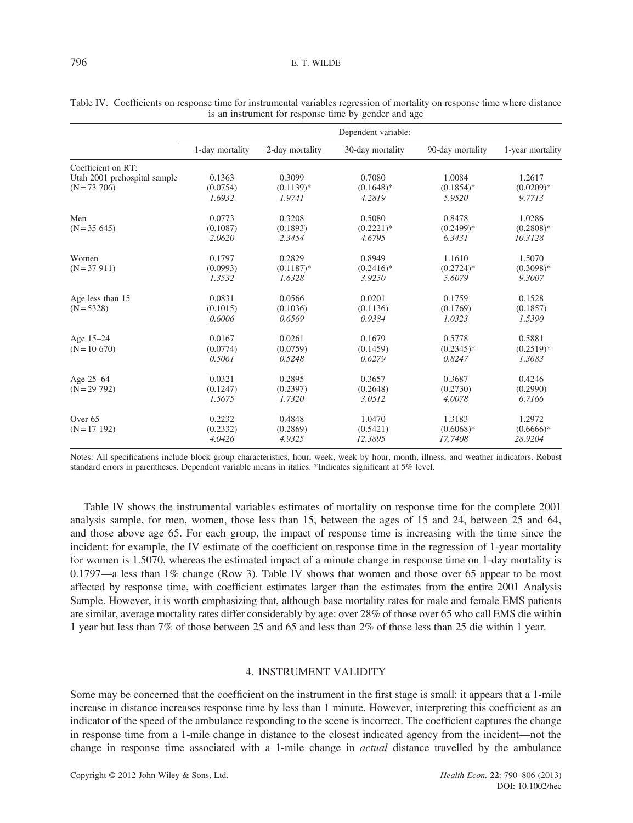|                              |                 |                 | Dependent variable: |                  |                  |
|------------------------------|-----------------|-----------------|---------------------|------------------|------------------|
|                              | 1-day mortality | 2-day mortality | 30-day mortality    | 90-day mortality | 1-year mortality |
| Coefficient on RT:           |                 |                 |                     |                  |                  |
| Utah 2001 prehospital sample | 0.1363          | 0.3099          | 0.7080              | 1.0084           | 1.2617           |
| $(N = 73, 706)$              | (0.0754)        | $(0.1139)*$     | $(0.1648)*$         | $(0.1854)*$      | $(0.0209)*$      |
|                              | 1.6932          | 1.9741          | 4.2819              | 5.9520           | 9.7713           |
| Men                          | 0.0773          | 0.3208          | 0.5080              | 0.8478           | 1.0286           |
| $(N = 35 645)$               | (0.1087)        | (0.1893)        | $(0.2221)$ *        | $(0.2499)*$      | $(0.2808)*$      |
|                              | 2.0620          | 2.3454          | 4.6795              | 6.3431           | 10.3128          |
| Women                        | 0.1797          | 0.2829          | 0.8949              | 1.1610           | 1.5070           |
| $(N = 37911)$                | (0.0993)        | $(0.1187)$ *    | $(0.2416)*$         | $(0.2724)*$      | $(0.3098)*$      |
|                              | 1.3532          | 1.6328          | 3.9250              | 5.6079           | 9.3007           |
| Age less than 15             | 0.0831          | 0.0566          | 0.0201              | 0.1759           | 0.1528           |
| $(N = 5328)$                 | (0.1015)        | (0.1036)        | (0.1136)            | (0.1769)         | (0.1857)         |
|                              | 0.6006          | 0.6569          | 0.9384              | 1.0323           | 1.5390           |
| Age 15-24                    | 0.0167          | 0.0261          | 0.1679              | 0.5778           | 0.5881           |
| $(N = 10, 670)$              | (0.0774)        | (0.0759)        | (0.1459)            | $(0.2345)*$      | $(0.2519)*$      |
|                              | 0.5061          | 0.5248          | 0.6279              | 0.8247           | 1.3683           |
| Age 25-64                    | 0.0321          | 0.2895          | 0.3657              | 0.3687           | 0.4246           |
| $(N = 29792)$                | (0.1247)        | (0.2397)        | (0.2648)            | (0.2730)         | (0.2990)         |
|                              | 1.5675          | 1.7320          | 3.0512              | 4.0078           | 6.7166           |
| Over 65                      | 0.2232          | 0.4848          | 1.0470              | 1.3183           | 1.2972           |
| $(N = 17 192)$               | (0.2332)        | (0.2869)        | (0.5421)            | $(0.6068)*$      | $(0.6666)*$      |
|                              | 4.0426          | 4.9325          | 12.3895             | 17.7408          | 28.9204          |

Table IV. Coefficients on response time for instrumental variables regression of mortality on response time where distance is an instrument for response time by gender and age

Notes: All specifications include block group characteristics, hour, week, week by hour, month, illness, and weather indicators. Robust standard errors in parentheses. Dependent variable means in italics. \*Indicates significant at 5% level.

Table IV shows the instrumental variables estimates of mortality on response time for the complete 2001 analysis sample, for men, women, those less than 15, between the ages of 15 and 24, between 25 and 64, and those above age 65. For each group, the impact of response time is increasing with the time since the incident: for example, the IV estimate of the coefficient on response time in the regression of 1-year mortality for women is 1.5070, whereas the estimated impact of a minute change in response time on 1-day mortality is 0.1797—a less than 1% change (Row 3). Table IV shows that women and those over 65 appear to be most affected by response time, with coefficient estimates larger than the estimates from the entire 2001 Analysis Sample. However, it is worth emphasizing that, although base mortality rates for male and female EMS patients are similar, average mortality rates differ considerably by age: over 28% of those over 65 who call EMS die within 1 year but less than 7% of those between 25 and 65 and less than 2% of those less than 25 die within 1 year.

# 4. INSTRUMENT VALIDITY

Some may be concerned that the coefficient on the instrument in the first stage is small: it appears that a 1-mile increase in distance increases response time by less than 1 minute. However, interpreting this coefficient as an indicator of the speed of the ambulance responding to the scene is incorrect. The coefficient captures the change in response time from a 1-mile change in distance to the closest indicated agency from the incident—not the change in response time associated with a 1-mile change in actual distance travelled by the ambulance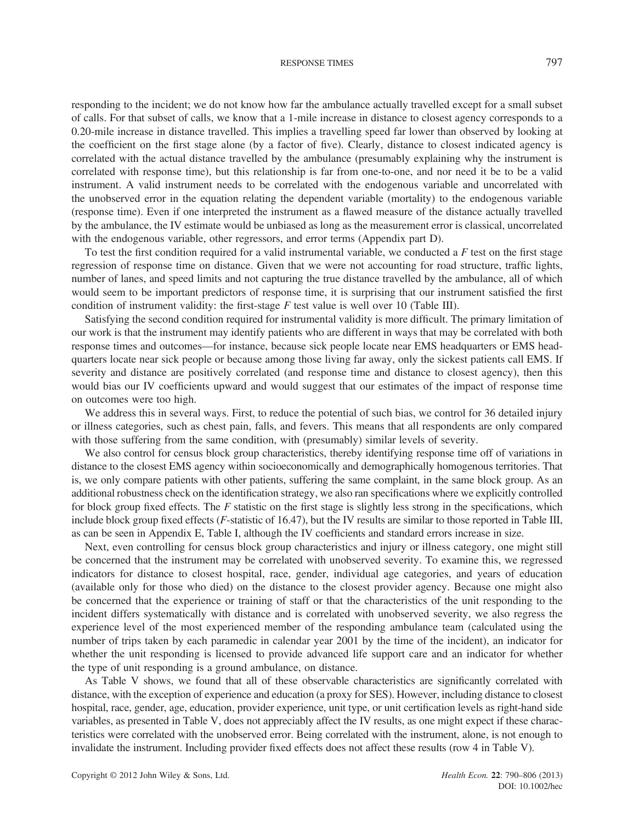responding to the incident; we do not know how far the ambulance actually travelled except for a small subset of calls. For that subset of calls, we know that a 1-mile increase in distance to closest agency corresponds to a 0.20-mile increase in distance travelled. This implies a travelling speed far lower than observed by looking at the coefficient on the first stage alone (by a factor of five). Clearly, distance to closest indicated agency is correlated with the actual distance travelled by the ambulance (presumably explaining why the instrument is correlated with response time), but this relationship is far from one-to-one, and nor need it be to be a valid instrument. A valid instrument needs to be correlated with the endogenous variable and uncorrelated with the unobserved error in the equation relating the dependent variable (mortality) to the endogenous variable (response time). Even if one interpreted the instrument as a flawed measure of the distance actually travelled by the ambulance, the IV estimate would be unbiased as long as the measurement error is classical, uncorrelated with the endogenous variable, other regressors, and error terms (Appendix part D).

To test the first condition required for a valid instrumental variable, we conducted a  $F$  test on the first stage regression of response time on distance. Given that we were not accounting for road structure, traffic lights, number of lanes, and speed limits and not capturing the true distance travelled by the ambulance, all of which would seem to be important predictors of response time, it is surprising that our instrument satisfied the first condition of instrument validity: the first-stage  $F$  test value is well over 10 (Table III).

Satisfying the second condition required for instrumental validity is more difficult. The primary limitation of our work is that the instrument may identify patients who are different in ways that may be correlated with both response times and outcomes—for instance, because sick people locate near EMS headquarters or EMS headquarters locate near sick people or because among those living far away, only the sickest patients call EMS. If severity and distance are positively correlated (and response time and distance to closest agency), then this would bias our IV coefficients upward and would suggest that our estimates of the impact of response time on outcomes were too high.

We address this in several ways. First, to reduce the potential of such bias, we control for 36 detailed injury or illness categories, such as chest pain, falls, and fevers. This means that all respondents are only compared with those suffering from the same condition, with (presumably) similar levels of severity.

We also control for census block group characteristics, thereby identifying response time off of variations in distance to the closest EMS agency within socioeconomically and demographically homogenous territories. That is, we only compare patients with other patients, suffering the same complaint, in the same block group. As an additional robustness check on the identification strategy, we also ran specifications where we explicitly controlled for block group fixed effects. The  $F$  statistic on the first stage is slightly less strong in the specifications, which include block group fixed effects (F-statistic of 16.47), but the IV results are similar to those reported in Table III, as can be seen in Appendix E, Table I, although the IV coefficients and standard errors increase in size.

Next, even controlling for census block group characteristics and injury or illness category, one might still be concerned that the instrument may be correlated with unobserved severity. To examine this, we regressed indicators for distance to closest hospital, race, gender, individual age categories, and years of education (available only for those who died) on the distance to the closest provider agency. Because one might also be concerned that the experience or training of staff or that the characteristics of the unit responding to the incident differs systematically with distance and is correlated with unobserved severity, we also regress the experience level of the most experienced member of the responding ambulance team (calculated using the number of trips taken by each paramedic in calendar year 2001 by the time of the incident), an indicator for whether the unit responding is licensed to provide advanced life support care and an indicator for whether the type of unit responding is a ground ambulance, on distance.

As Table V shows, we found that all of these observable characteristics are significantly correlated with distance, with the exception of experience and education (a proxy for SES). However, including distance to closest hospital, race, gender, age, education, provider experience, unit type, or unit certification levels as right-hand side variables, as presented in Table V, does not appreciably affect the IV results, as one might expect if these characteristics were correlated with the unobserved error. Being correlated with the instrument, alone, is not enough to invalidate the instrument. Including provider fixed effects does not affect these results (row 4 in Table V).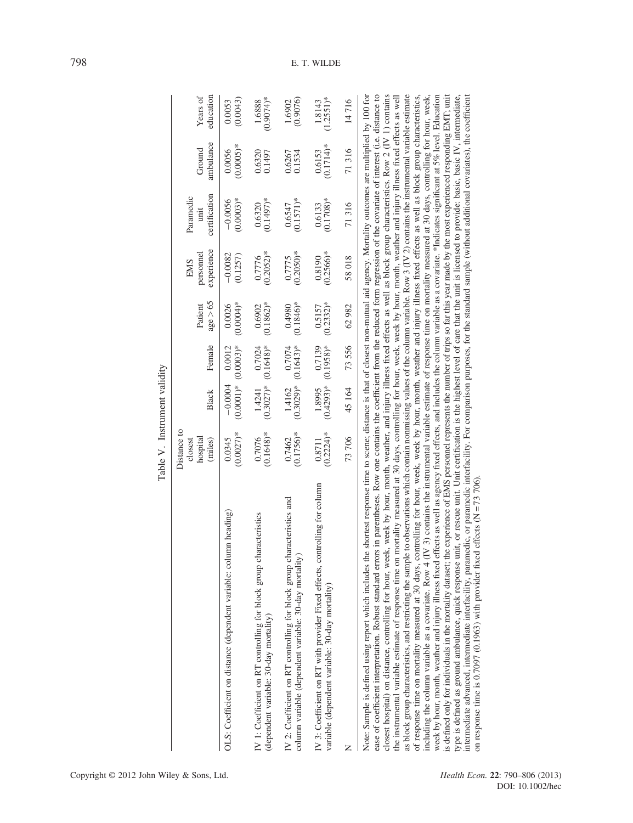|                                                                                                                                                                                                                                                                                                                                                                                                                                                                                                                                                                                                                                                                                                                                                                                                                                                                                                                                                                                                                                                                                                                                                                                                                                                                                                                                                                                                                                                                                                                                                                                                                                                                                                                                                                                                                                                                                                                                                                                                                                                                                                                                                                                                                                                      | Table V. Instrument validity                  |                                      |                       |                         |                                |                                    |                       |                       |
|------------------------------------------------------------------------------------------------------------------------------------------------------------------------------------------------------------------------------------------------------------------------------------------------------------------------------------------------------------------------------------------------------------------------------------------------------------------------------------------------------------------------------------------------------------------------------------------------------------------------------------------------------------------------------------------------------------------------------------------------------------------------------------------------------------------------------------------------------------------------------------------------------------------------------------------------------------------------------------------------------------------------------------------------------------------------------------------------------------------------------------------------------------------------------------------------------------------------------------------------------------------------------------------------------------------------------------------------------------------------------------------------------------------------------------------------------------------------------------------------------------------------------------------------------------------------------------------------------------------------------------------------------------------------------------------------------------------------------------------------------------------------------------------------------------------------------------------------------------------------------------------------------------------------------------------------------------------------------------------------------------------------------------------------------------------------------------------------------------------------------------------------------------------------------------------------------------------------------------------------------|-----------------------------------------------|--------------------------------------|-----------------------|-------------------------|--------------------------------|------------------------------------|-----------------------|-----------------------|
|                                                                                                                                                                                                                                                                                                                                                                                                                                                                                                                                                                                                                                                                                                                                                                                                                                                                                                                                                                                                                                                                                                                                                                                                                                                                                                                                                                                                                                                                                                                                                                                                                                                                                                                                                                                                                                                                                                                                                                                                                                                                                                                                                                                                                                                      | Distance to<br>hospital<br>closest<br>(miles) | Black                                | Female                | age > 65<br>Patient     | experience<br>personnel<br>EMS | certification<br>Paramedic<br>unit | ambulance<br>Ground   | education<br>Years of |
| OLS: Coefficient on distance (dependent variable: column heading)                                                                                                                                                                                                                                                                                                                                                                                                                                                                                                                                                                                                                                                                                                                                                                                                                                                                                                                                                                                                                                                                                                                                                                                                                                                                                                                                                                                                                                                                                                                                                                                                                                                                                                                                                                                                                                                                                                                                                                                                                                                                                                                                                                                    | $(0.0027)$ *<br>0.0345                        | $(0.0001)*$ $(0.0003)*$<br>$-0.0004$ | 0.0012                | $(0.0004)*$<br>0.0026   | $-0.0082$<br>(0.1257)          | $(0.0003)*$<br>$-0.0056$           | $(0.0005)*$<br>0.0056 | (0.0043)<br>0.0053    |
| IV 1: Coefficient on RT controlling for block group characteristics<br>(dependent variable: 30-day mortality)                                                                                                                                                                                                                                                                                                                                                                                                                                                                                                                                                                                                                                                                                                                                                                                                                                                                                                                                                                                                                                                                                                                                                                                                                                                                                                                                                                                                                                                                                                                                                                                                                                                                                                                                                                                                                                                                                                                                                                                                                                                                                                                                        | $(0.1648)*$<br>0.7076                         | $(0.3027)*$ $(0.1648)*$<br>1.4241    | 0.7024                | $(0.1862)*$<br>0.6902   | $(0.2052)$ *<br>0.7776         | $(0.1497)*$<br>0.6320              | 0.6320<br>0.1497      | $(0.9074)*$<br>1.6888 |
| IV 2: Coefficient on RT controlling for block group characteristics and<br>mortality<br>column variable (dependent variable: 30-day                                                                                                                                                                                                                                                                                                                                                                                                                                                                                                                                                                                                                                                                                                                                                                                                                                                                                                                                                                                                                                                                                                                                                                                                                                                                                                                                                                                                                                                                                                                                                                                                                                                                                                                                                                                                                                                                                                                                                                                                                                                                                                                  | $(0.1756)*$<br>0.7462                         | $(0.3029)*$ $(0.1643)*$<br>1.4162    | 0.7074                | $(0.1846)*$<br>0.4980   | $(0.2050)$ *<br>0.7775         | $(0.1571)*$<br>0.6547              | 0.1534<br>0.6267      | (0.9076)<br>1.6902    |
| effects, controlling for column<br>variable (dependent variable: 30-day mortality)<br>IV 3: Coefficient on RT with provider Fixed                                                                                                                                                                                                                                                                                                                                                                                                                                                                                                                                                                                                                                                                                                                                                                                                                                                                                                                                                                                                                                                                                                                                                                                                                                                                                                                                                                                                                                                                                                                                                                                                                                                                                                                                                                                                                                                                                                                                                                                                                                                                                                                    | $(0.2224)$ *<br>0.8711                        | $(0.4293)*$<br>1.8995                | $(0.1958)*$<br>0.7139 | $0.5157$<br>$(0.2332)*$ | $(0.2566)*$<br>0.8190          | $(0.1708)*$<br>0.6133              | $(0.1714)*$<br>0.6153 | $(1.2551)*$<br>1.8143 |
| Z                                                                                                                                                                                                                                                                                                                                                                                                                                                                                                                                                                                                                                                                                                                                                                                                                                                                                                                                                                                                                                                                                                                                                                                                                                                                                                                                                                                                                                                                                                                                                                                                                                                                                                                                                                                                                                                                                                                                                                                                                                                                                                                                                                                                                                                    | 73706                                         | 45 164                               | 73556                 | 62982                   | 58018                          | 71316                              | 71316                 | 14716                 |
| Note: Sample is defined using report which includes the shortest response time to scene; distance is that of closest non-mutual aid agency. Mortality outcomes are multiplied by 100 for<br>ease of coefficient interpretation. Robust standard errors in parentheses. Row one contains the coefficient from the reduced form regression of the covariate of interest (i.e. distance to<br>closest hospital) on distance, controlling for hour, week, week by hour, month, weather, and injury illness fixed effects as well as block group characteristics. Row 2 (IV 1) contains<br>the sample to observations which contain nonmissing values of the column variable. Row 3 (IV 2) contains the instrumental variable estimate<br>week by hour, month, weather and injury illness fixed effects as well as agency fixed effects, and includes the column variable as a covariate. *Indicates significant at 5% level. Education<br>is defined only for individuals in the mortality dataset; the experience of EMS personnel represents the number of trips so far this year made by the most experienced responding EMT; unit<br>intermediate advanced, intermediate interfacility, paramedic, or paramedic interfacility. For comparison purposes, for the standard sample (without additional covariates), the coefficient<br>including the column variable as a covariate. Row 4 (IV 3) contains the instrumental variable estimate of response time on mortality measured at 30 days, controlling for hour, week,<br>type is defined as ground ambulance, quick response unit, or rescue unit. Unit certification is the highest level of care that the unit is licensed to provide: basic, basic IV, intermediate,<br>the instrumental variable estimate of response time on mortality measured at 30 days, controlling for hour, week, week by hour, month, weather and injury illness fixed effects as well<br>of response time on mortality measured at 30 days, controlling for hour, week, week by hour, month, weather and injury illness fixed effects as well as block group characteristics,<br>on response time is 0.7097 (0.1963) with provider fixed effects ( $N = 73$ 706)<br>as block group characteristics, and restricting |                                               |                                      |                       |                         |                                |                                    |                       |                       |

didir ŕ,  $Tohl<sub>2</sub>$  V

Copyright © 2012 John Wiley & Sons, Ltd. Health Econ. 22: 790-806 (2013)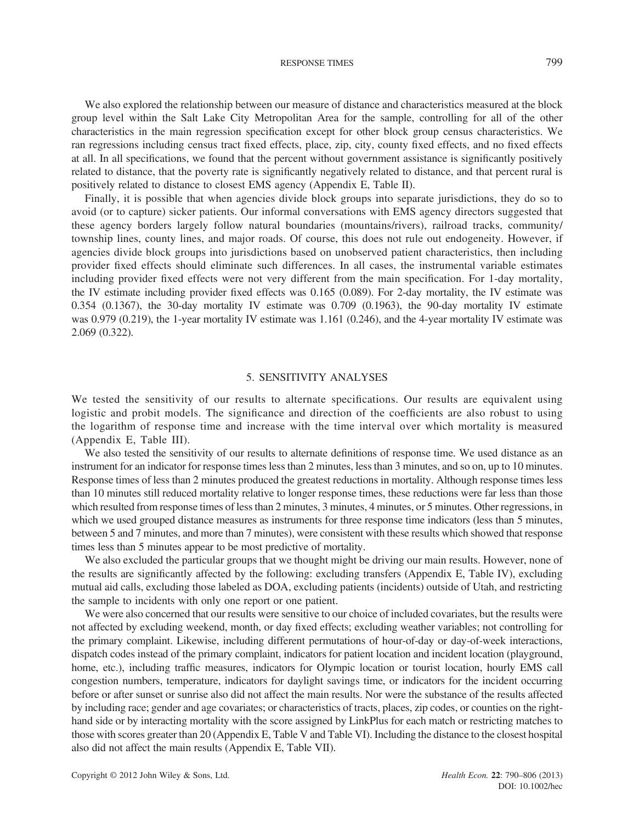We also explored the relationship between our measure of distance and characteristics measured at the block group level within the Salt Lake City Metropolitan Area for the sample, controlling for all of the other characteristics in the main regression specification except for other block group census characteristics. We ran regressions including census tract fixed effects, place, zip, city, county fixed effects, and no fixed effects at all. In all specifications, we found that the percent without government assistance is significantly positively related to distance, that the poverty rate is significantly negatively related to distance, and that percent rural is positively related to distance to closest EMS agency (Appendix E, Table II).

Finally, it is possible that when agencies divide block groups into separate jurisdictions, they do so to avoid (or to capture) sicker patients. Our informal conversations with EMS agency directors suggested that these agency borders largely follow natural boundaries (mountains/rivers), railroad tracks, community/ township lines, county lines, and major roads. Of course, this does not rule out endogeneity. However, if agencies divide block groups into jurisdictions based on unobserved patient characteristics, then including provider fixed effects should eliminate such differences. In all cases, the instrumental variable estimates including provider fixed effects were not very different from the main specification. For 1-day mortality, the IV estimate including provider fixed effects was 0.165 (0.089). For 2-day mortality, the IV estimate was 0.354 (0.1367), the 30-day mortality IV estimate was 0.709 (0.1963), the 90-day mortality IV estimate was 0.979 (0.219), the 1-year mortality IV estimate was 1.161 (0.246), and the 4-year mortality IV estimate was 2.069 (0.322).

# 5. SENSITIVITY ANALYSES

We tested the sensitivity of our results to alternate specifications. Our results are equivalent using logistic and probit models. The significance and direction of the coefficients are also robust to using the logarithm of response time and increase with the time interval over which mortality is measured (Appendix E, Table III).

We also tested the sensitivity of our results to alternate definitions of response time. We used distance as an instrument for an indicator for response times less than 2 minutes, less than 3 minutes, and so on, up to 10 minutes. Response times of less than 2 minutes produced the greatest reductions in mortality. Although response times less than 10 minutes still reduced mortality relative to longer response times, these reductions were far less than those which resulted from response times of less than 2 minutes, 3 minutes, 4 minutes, or 5 minutes. Other regressions, in which we used grouped distance measures as instruments for three response time indicators (less than 5 minutes, between 5 and 7 minutes, and more than 7 minutes), were consistent with these results which showed that response times less than 5 minutes appear to be most predictive of mortality.

We also excluded the particular groups that we thought might be driving our main results. However, none of the results are significantly affected by the following: excluding transfers (Appendix E, Table IV), excluding mutual aid calls, excluding those labeled as DOA, excluding patients (incidents) outside of Utah, and restricting the sample to incidents with only one report or one patient.

We were also concerned that our results were sensitive to our choice of included covariates, but the results were not affected by excluding weekend, month, or day fixed effects; excluding weather variables; not controlling for the primary complaint. Likewise, including different permutations of hour-of-day or day-of-week interactions, dispatch codes instead of the primary complaint, indicators for patient location and incident location (playground, home, etc.), including traffic measures, indicators for Olympic location or tourist location, hourly EMS call congestion numbers, temperature, indicators for daylight savings time, or indicators for the incident occurring before or after sunset or sunrise also did not affect the main results. Nor were the substance of the results affected by including race; gender and age covariates; or characteristics of tracts, places, zip codes, or counties on the righthand side or by interacting mortality with the score assigned by LinkPlus for each match or restricting matches to those with scores greater than 20 (Appendix E, Table V and Table VI). Including the distance to the closest hospital also did not affect the main results (Appendix E, Table VII).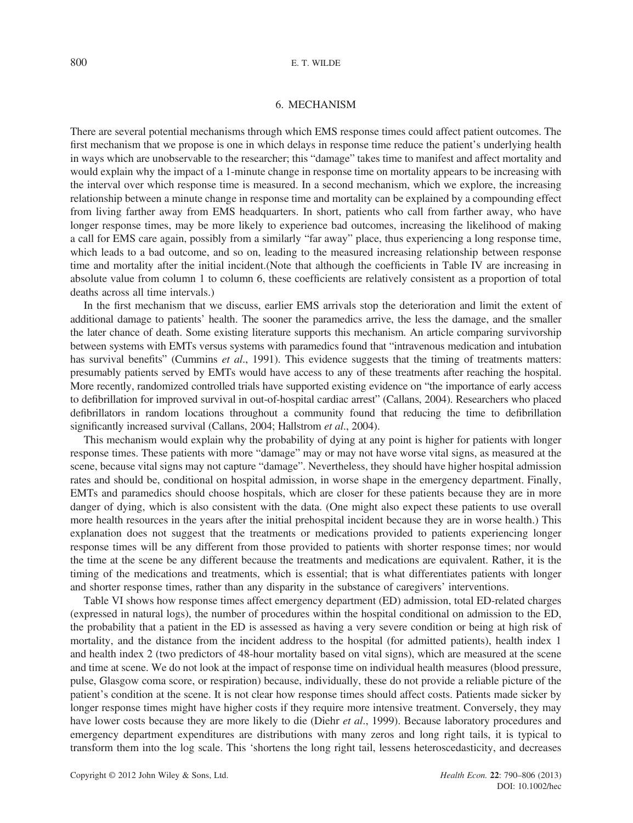#### 6. MECHANISM

There are several potential mechanisms through which EMS response times could affect patient outcomes. The first mechanism that we propose is one in which delays in response time reduce the patient's underlying health in ways which are unobservable to the researcher; this "damage" takes time to manifest and affect mortality and would explain why the impact of a 1-minute change in response time on mortality appears to be increasing with the interval over which response time is measured. In a second mechanism, which we explore, the increasing relationship between a minute change in response time and mortality can be explained by a compounding effect from living farther away from EMS headquarters. In short, patients who call from farther away, who have longer response times, may be more likely to experience bad outcomes, increasing the likelihood of making a call for EMS care again, possibly from a similarly "far away" place, thus experiencing a long response time, which leads to a bad outcome, and so on, leading to the measured increasing relationship between response time and mortality after the initial incident.(Note that although the coefficients in Table IV are increasing in absolute value from column 1 to column 6, these coefficients are relatively consistent as a proportion of total deaths across all time intervals.)

In the first mechanism that we discuss, earlier EMS arrivals stop the deterioration and limit the extent of additional damage to patients' health. The sooner the paramedics arrive, the less the damage, and the smaller the later chance of death. Some existing literature supports this mechanism. An article comparing survivorship between systems with EMTs versus systems with paramedics found that "intravenous medication and intubation has survival benefits" (Cummins et al., 1991). This evidence suggests that the timing of treatments matters: presumably patients served by EMTs would have access to any of these treatments after reaching the hospital. More recently, randomized controlled trials have supported existing evidence on "the importance of early access to defibrillation for improved survival in out-of-hospital cardiac arrest" (Callans, 2004). Researchers who placed defibrillators in random locations throughout a community found that reducing the time to defibrillation significantly increased survival (Callans, 2004; Hallstrom et al., 2004).

This mechanism would explain why the probability of dying at any point is higher for patients with longer response times. These patients with more "damage" may or may not have worse vital signs, as measured at the scene, because vital signs may not capture "damage". Nevertheless, they should have higher hospital admission rates and should be, conditional on hospital admission, in worse shape in the emergency department. Finally, EMTs and paramedics should choose hospitals, which are closer for these patients because they are in more danger of dying, which is also consistent with the data. (One might also expect these patients to use overall more health resources in the years after the initial prehospital incident because they are in worse health.) This explanation does not suggest that the treatments or medications provided to patients experiencing longer response times will be any different from those provided to patients with shorter response times; nor would the time at the scene be any different because the treatments and medications are equivalent. Rather, it is the timing of the medications and treatments, which is essential; that is what differentiates patients with longer and shorter response times, rather than any disparity in the substance of caregivers' interventions.

Table VI shows how response times affect emergency department (ED) admission, total ED-related charges (expressed in natural logs), the number of procedures within the hospital conditional on admission to the ED, the probability that a patient in the ED is assessed as having a very severe condition or being at high risk of mortality, and the distance from the incident address to the hospital (for admitted patients), health index 1 and health index 2 (two predictors of 48-hour mortality based on vital signs), which are measured at the scene and time at scene. We do not look at the impact of response time on individual health measures (blood pressure, pulse, Glasgow coma score, or respiration) because, individually, these do not provide a reliable picture of the patient's condition at the scene. It is not clear how response times should affect costs. Patients made sicker by longer response times might have higher costs if they require more intensive treatment. Conversely, they may have lower costs because they are more likely to die (Diehr et al., 1999). Because laboratory procedures and emergency department expenditures are distributions with many zeros and long right tails, it is typical to transform them into the log scale. This 'shortens the long right tail, lessens heteroscedasticity, and decreases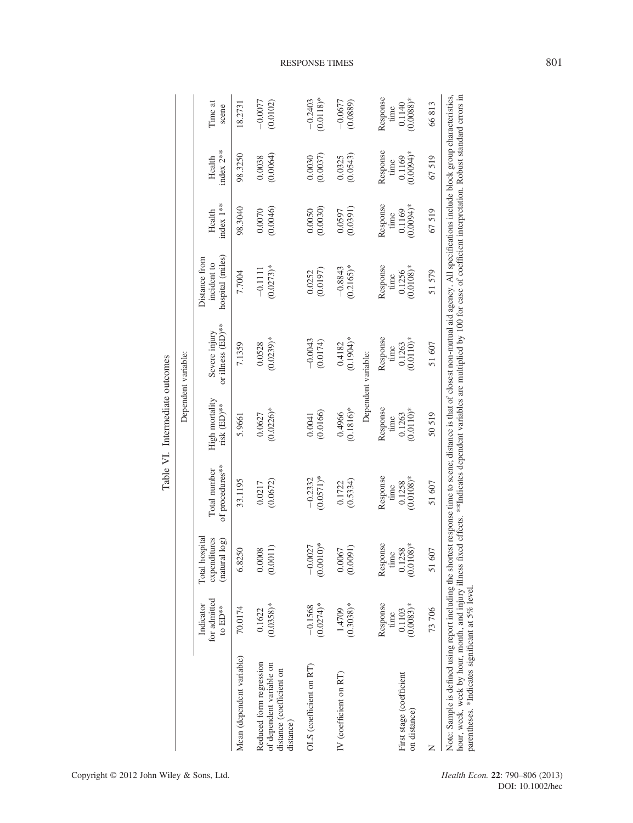|                                                                                                                                                                                                                                                                                                                                                                                                                                                 |                                           |                                                 |                                            | munication controlled to the control<br>$\vdots$ | Dependent variable:                       |                                                  |                                            |                                            |                                           |
|-------------------------------------------------------------------------------------------------------------------------------------------------------------------------------------------------------------------------------------------------------------------------------------------------------------------------------------------------------------------------------------------------------------------------------------------------|-------------------------------------------|-------------------------------------------------|--------------------------------------------|--------------------------------------------------|-------------------------------------------|--------------------------------------------------|--------------------------------------------|--------------------------------------------|-------------------------------------------|
|                                                                                                                                                                                                                                                                                                                                                                                                                                                 | for admitted<br>Indicator<br>to $ED**$    | Total hospital<br>expenditures<br>(natural log) | of procedures**<br>Total number            | High mortality<br>risk $(ED)$ **                 | or illness (ED)**<br>Severe injury        | hospital (miles)<br>Distance from<br>incident to | index 1**<br>Health                        | index 2**<br>Health                        | Time at<br>scene                          |
| Mean (dependent variable)                                                                                                                                                                                                                                                                                                                                                                                                                       | 70.0174                                   | 6.8250                                          | 33.1195                                    | 5.9661                                           | 7.1359                                    | 7.7004                                           | 98.3040                                    | 98.3250                                    | 18.2731                                   |
| Reduced form regression<br>of dependent variable on<br>distance (coefficient on<br>distance)                                                                                                                                                                                                                                                                                                                                                    | $(0.0358)*$<br>0.1622                     | (0.0011)<br>0.0008                              | (0.0672)<br>0.0217                         | $(0.0226)$ *<br>0.0627                           | $(0.0239)*$<br>0.0528                     | $(0.0273)*$<br>$-0.1111$                         | (0.0046)<br>0.0070                         | (0.0064)<br>0.0038                         | $-0.0077$<br>(0.0102)                     |
| OLS (coefficient on RT)                                                                                                                                                                                                                                                                                                                                                                                                                         | $(0.0274)*$<br>$-0.1568$                  | $(0.0010)*$<br>$-0.0027$                        | $(0.0571)$ *<br>$-0.2332$                  | (0.0166)<br>0.0041                               | $-0.0043$<br>(0.0174)                     | (0.0197)<br>0.0252                               | (0.0030)<br>0.0050                         | (0.0037)<br>0.0030                         | $(0.0118)$ *<br>$-0.2403$                 |
| IV (coefficient on RT)                                                                                                                                                                                                                                                                                                                                                                                                                          | $(0.3038)*$<br>1.4709                     | (0.0091)<br>0.0067                              | (0.5334)<br>0.1722                         | $(0.1816)*$<br>0.4966                            | $(0.1904)$ *<br>0.4182                    | $(0.2165)$ *<br>$-0.8843$                        | (0.0391)<br>0.0597                         | (0.0543)<br>0.0325                         | $-0.0677$<br>(0.0889)                     |
|                                                                                                                                                                                                                                                                                                                                                                                                                                                 |                                           |                                                 |                                            |                                                  | Dependent variable:                       |                                                  |                                            |                                            |                                           |
| First stage (coefficient<br>on distance                                                                                                                                                                                                                                                                                                                                                                                                         | Response<br>$(0.0083)*$<br>0.1103<br>time | $(0.0108)$ *<br>Response<br>0.1258<br>time      | $(0.0108)$ *<br>Response<br>0.1258<br>time | $(0.0110)*$<br>Response<br>0.1263<br>time        | $(0.0110)*$<br>Response<br>0.1263<br>time | $(0.0108)*$<br>Response<br>0.1256<br>time        | Response<br>$(0.0094)$ *<br>0.1169<br>time | Response<br>$(0.0094)$ *<br>0.1169<br>time | Response<br>$(0.0088)*$<br>0.1140<br>time |
|                                                                                                                                                                                                                                                                                                                                                                                                                                                 | 73706                                     | 51607                                           | 51607                                      | 50 519                                           | 51607                                     | 51579                                            | 67519                                      | 67519                                      | 66813                                     |
| hour, week, week by hour, month, and injury illness fixed effects. **Indicates dependent variables are multiplied by 100 for ease of coefficient interpretation. Robust standard errors in<br>Note: Sample is defined using report including the shortest response time to scene; distance is that of closest non-mutual aid agency. All specifications include block group characteristics,<br>parentheses. *Indicates significant at 5% level |                                           |                                                 |                                            |                                                  |                                           |                                                  |                                            |                                            |                                           |

Table VI. Intermediate outcomes Table VI. Intermediate outcomes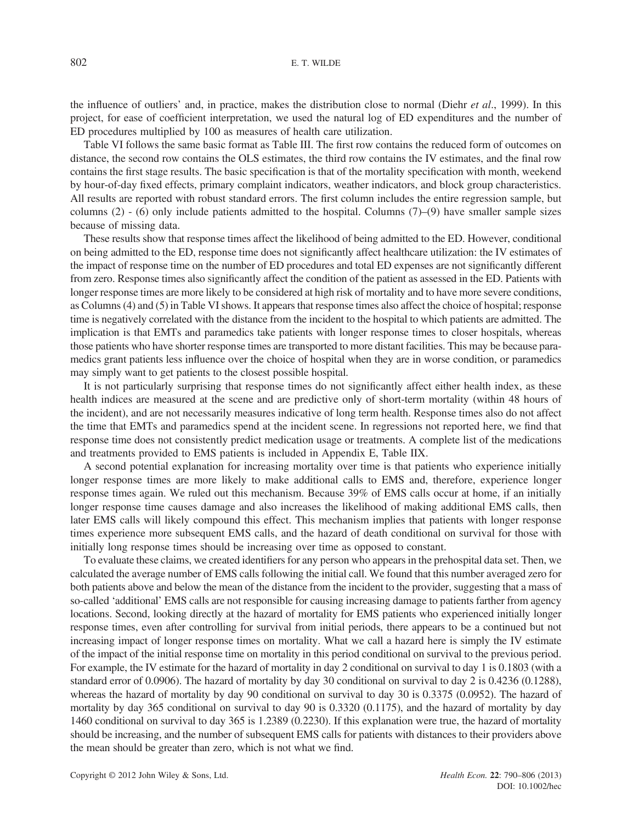the influence of outliers' and, in practice, makes the distribution close to normal (Diehr et al., 1999). In this project, for ease of coefficient interpretation, we used the natural log of ED expenditures and the number of ED procedures multiplied by 100 as measures of health care utilization.

Table VI follows the same basic format as Table III. The first row contains the reduced form of outcomes on distance, the second row contains the OLS estimates, the third row contains the IV estimates, and the final row contains the first stage results. The basic specification is that of the mortality specification with month, weekend by hour-of-day fixed effects, primary complaint indicators, weather indicators, and block group characteristics. All results are reported with robust standard errors. The first column includes the entire regression sample, but columns  $(2)$  - (6) only include patients admitted to the hospital. Columns  $(7)$ – $(9)$  have smaller sample sizes because of missing data.

These results show that response times affect the likelihood of being admitted to the ED. However, conditional on being admitted to the ED, response time does not significantly affect healthcare utilization: the IV estimates of the impact of response time on the number of ED procedures and total ED expenses are not significantly different from zero. Response times also significantly affect the condition of the patient as assessed in the ED. Patients with longer response times are more likely to be considered at high risk of mortality and to have more severe conditions, as Columns (4) and (5) in Table VI shows. It appears that response times also affect the choice of hospital; response time is negatively correlated with the distance from the incident to the hospital to which patients are admitted. The implication is that EMTs and paramedics take patients with longer response times to closer hospitals, whereas those patients who have shorter response times are transported to more distant facilities. This may be because paramedics grant patients less influence over the choice of hospital when they are in worse condition, or paramedics may simply want to get patients to the closest possible hospital.

It is not particularly surprising that response times do not significantly affect either health index, as these health indices are measured at the scene and are predictive only of short-term mortality (within 48 hours of the incident), and are not necessarily measures indicative of long term health. Response times also do not affect the time that EMTs and paramedics spend at the incident scene. In regressions not reported here, we find that response time does not consistently predict medication usage or treatments. A complete list of the medications and treatments provided to EMS patients is included in Appendix E, Table IIX.

A second potential explanation for increasing mortality over time is that patients who experience initially longer response times are more likely to make additional calls to EMS and, therefore, experience longer response times again. We ruled out this mechanism. Because 39% of EMS calls occur at home, if an initially longer response time causes damage and also increases the likelihood of making additional EMS calls, then later EMS calls will likely compound this effect. This mechanism implies that patients with longer response times experience more subsequent EMS calls, and the hazard of death conditional on survival for those with initially long response times should be increasing over time as opposed to constant.

To evaluate these claims, we created identifiers for any person who appears in the prehospital data set. Then, we calculated the average number of EMS calls following the initial call. We found that this number averaged zero for both patients above and below the mean of the distance from the incident to the provider, suggesting that a mass of so-called 'additional' EMS calls are not responsible for causing increasing damage to patients farther from agency locations. Second, looking directly at the hazard of mortality for EMS patients who experienced initially longer response times, even after controlling for survival from initial periods, there appears to be a continued but not increasing impact of longer response times on mortality. What we call a hazard here is simply the IV estimate of the impact of the initial response time on mortality in this period conditional on survival to the previous period. For example, the IV estimate for the hazard of mortality in day 2 conditional on survival to day 1 is 0.1803 (with a standard error of 0.0906). The hazard of mortality by day 30 conditional on survival to day 2 is 0.4236 (0.1288), whereas the hazard of mortality by day 90 conditional on survival to day 30 is 0.3375 (0.0952). The hazard of mortality by day 365 conditional on survival to day 90 is 0.3320 (0.1175), and the hazard of mortality by day 1460 conditional on survival to day 365 is 1.2389 (0.2230). If this explanation were true, the hazard of mortality should be increasing, and the number of subsequent EMS calls for patients with distances to their providers above the mean should be greater than zero, which is not what we find.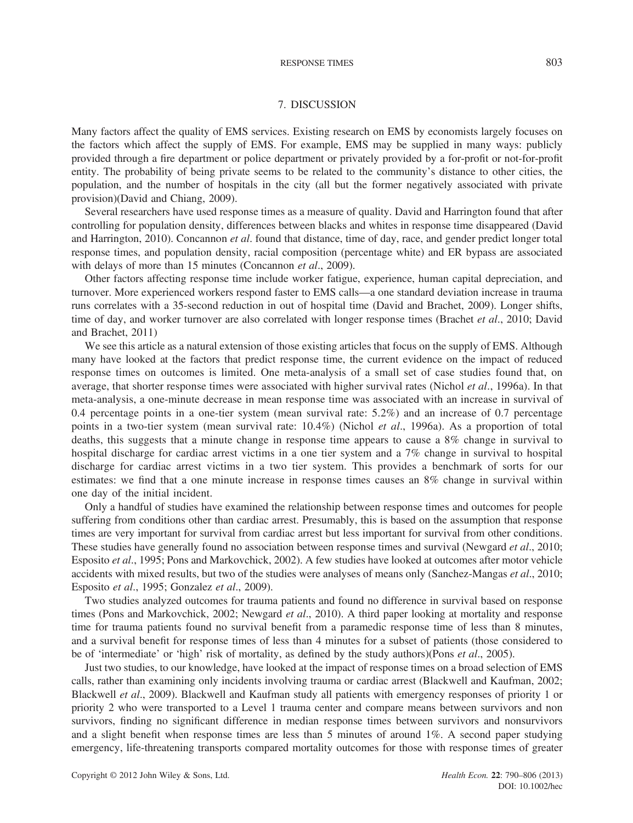# 7. DISCUSSION

Many factors affect the quality of EMS services. Existing research on EMS by economists largely focuses on the factors which affect the supply of EMS. For example, EMS may be supplied in many ways: publicly provided through a fire department or police department or privately provided by a for-profit or not-for-profit entity. The probability of being private seems to be related to the community's distance to other cities, the population, and the number of hospitals in the city (all but the former negatively associated with private provision)(David and Chiang, 2009).

Several researchers have used response times as a measure of quality. David and Harrington found that after controlling for population density, differences between blacks and whites in response time disappeared (David and Harrington, 2010). Concannon *et al.* found that distance, time of day, race, and gender predict longer total response times, and population density, racial composition (percentage white) and ER bypass are associated with delays of more than 15 minutes (Concannon et al., 2009).

Other factors affecting response time include worker fatigue, experience, human capital depreciation, and turnover. More experienced workers respond faster to EMS calls—a one standard deviation increase in trauma runs correlates with a 35-second reduction in out of hospital time (David and Brachet, 2009). Longer shifts, time of day, and worker turnover are also correlated with longer response times (Brachet *et al.*, 2010; David and Brachet, 2011)

We see this article as a natural extension of those existing articles that focus on the supply of EMS. Although many have looked at the factors that predict response time, the current evidence on the impact of reduced response times on outcomes is limited. One meta-analysis of a small set of case studies found that, on average, that shorter response times were associated with higher survival rates (Nichol *et al.*, 1996a). In that meta-analysis, a one-minute decrease in mean response time was associated with an increase in survival of 0.4 percentage points in a one-tier system (mean survival rate: 5.2%) and an increase of 0.7 percentage points in a two-tier system (mean survival rate: 10.4%) (Nichol et al., 1996a). As a proportion of total deaths, this suggests that a minute change in response time appears to cause a 8% change in survival to hospital discharge for cardiac arrest victims in a one tier system and a 7% change in survival to hospital discharge for cardiac arrest victims in a two tier system. This provides a benchmark of sorts for our estimates: we find that a one minute increase in response times causes an 8% change in survival within one day of the initial incident.

Only a handful of studies have examined the relationship between response times and outcomes for people suffering from conditions other than cardiac arrest. Presumably, this is based on the assumption that response times are very important for survival from cardiac arrest but less important for survival from other conditions. These studies have generally found no association between response times and survival (Newgard et al., 2010; Esposito *et al.*, 1995; Pons and Markovchick, 2002). A few studies have looked at outcomes after motor vehicle accidents with mixed results, but two of the studies were analyses of means only (Sanchez-Mangas et al., 2010; Esposito et al., 1995; Gonzalez et al., 2009).

Two studies analyzed outcomes for trauma patients and found no difference in survival based on response times (Pons and Markovchick, 2002; Newgard *et al.*, 2010). A third paper looking at mortality and response time for trauma patients found no survival benefit from a paramedic response time of less than 8 minutes, and a survival benefit for response times of less than 4 minutes for a subset of patients (those considered to be of 'intermediate' or 'high' risk of mortality, as defined by the study authors)(Pons et al., 2005).

Just two studies, to our knowledge, have looked at the impact of response times on a broad selection of EMS calls, rather than examining only incidents involving trauma or cardiac arrest (Blackwell and Kaufman, 2002; Blackwell et al., 2009). Blackwell and Kaufman study all patients with emergency responses of priority 1 or priority 2 who were transported to a Level 1 trauma center and compare means between survivors and non survivors, finding no significant difference in median response times between survivors and nonsurvivors and a slight benefit when response times are less than 5 minutes of around 1%. A second paper studying emergency, life-threatening transports compared mortality outcomes for those with response times of greater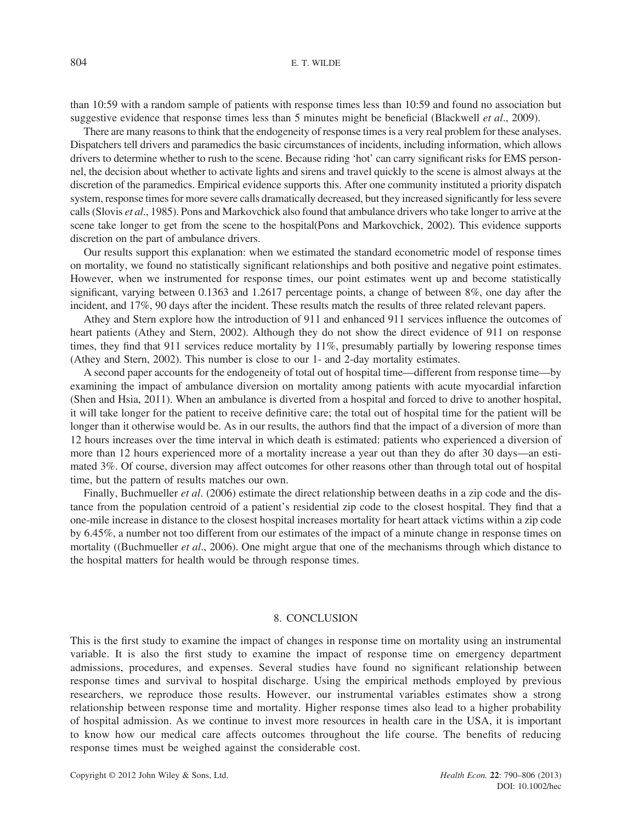than 10:59 with a random sample of patients with response times less than 10:59 and found no association but suggestive evidence that response times less than 5 minutes might be beneficial (Blackwell *et al.*, 2009).

There are many reasons to think that the endogeneity of response times is a very real problem for these analyses. Dispatchers tell drivers and paramedics the basic circumstances of incidents, including information, which allows drivers to determine whether to rush to the scene. Because riding 'hot' can carry significant risks for EMS personnel, the decision about whether to activate lights and sirens and travel quickly to the scene is almost always at the discretion of the paramedics. Empirical evidence supports this. After one community instituted a priority dispatch system, response times for more severe calls dramatically decreased, but they increased significantly for less severe calls (Slovis et al., 1985). Pons and Markovchick also found that ambulance drivers who take longer to arrive at the scene take longer to get from the scene to the hospital(Pons and Markovchick, 2002). This evidence supports discretion on the part of ambulance drivers.

Our results support this explanation: when we estimated the standard econometric model of response times on mortality, we found no statistically significant relationships and both positive and negative point estimates. However, when we instrumented for response times, our point estimates went up and become statistically significant, varying between 0.1363 and 1.2617 percentage points, a change of between 8%, one day after the incident, and 17%, 90 days after the incident. These results match the results of three related relevant papers.

Athey and Stern explore how the introduction of 911 and enhanced 911 services influence the outcomes of heart patients (Athey and Stern, 2002). Although they do not show the direct evidence of 911 on response times, they find that 911 services reduce mortality by 11%, presumably partially by lowering response times (Athey and Stern, 2002). This number is close to our 1- and 2-day mortality estimates.

A second paper accounts for the endogeneity of total out of hospital time—different from response time—by examining the impact of ambulance diversion on mortality among patients with acute myocardial infarction (Shen and Hsia, 2011). When an ambulance is diverted from a hospital and forced to drive to another hospital, it will take longer for the patient to receive definitive care; the total out of hospital time for the patient will be longer than it otherwise would be. As in our results, the authors find that the impact of a diversion of more than 12 hours increases over the time interval in which death is estimated: patients who experienced a diversion of more than 12 hours experienced more of a mortality increase a year out than they do after 30 days—an estimated 3%. Of course, diversion may affect outcomes for other reasons other than through total out of hospital time, but the pattern of results matches our own.

Finally, Buchmueller et al. (2006) estimate the direct relationship between deaths in a zip code and the distance from the population centroid of a patient's residential zip code to the closest hospital. They find that a one-mile increase in distance to the closest hospital increases mortality for heart attack victims within a zip code by 6.45%, a number not too different from our estimates of the impact of a minute change in response times on mortality ((Buchmueller et al., 2006). One might argue that one of the mechanisms through which distance to the hospital matters for health would be through response times.

# 8. CONCLUSION

This is the first study to examine the impact of changes in response time on mortality using an instrumental variable. It is also the first study to examine the impact of response time on emergency department admissions, procedures, and expenses. Several studies have found no significant relationship between response times and survival to hospital discharge. Using the empirical methods employed by previous researchers, we reproduce those results. However, our instrumental variables estimates show a strong relationship between response time and mortality. Higher response times also lead to a higher probability of hospital admission. As we continue to invest more resources in health care in the USA, it is important to know how our medical care affects outcomes throughout the life course. The benefits of reducing response times must be weighed against the considerable cost.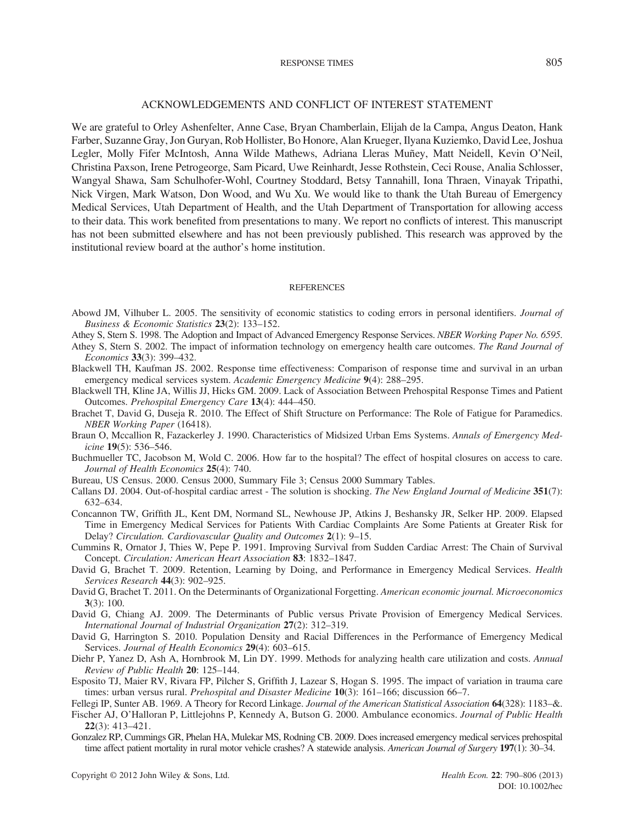#### ACKNOWLEDGEMENTS AND CONFLICT OF INTEREST STATEMENT

We are grateful to Orley Ashenfelter, Anne Case, Bryan Chamberlain, Elijah de la Campa, Angus Deaton, Hank Farber, Suzanne Gray, Jon Guryan, Rob Hollister, Bo Honore, Alan Krueger, Ilyana Kuziemko, David Lee, Joshua Legler, Molly Fifer McIntosh, Anna Wilde Mathews, Adriana Lleras Muñey, Matt Neidell, Kevin O'Neil, Christina Paxson, Irene Petrogeorge, Sam Picard, Uwe Reinhardt, Jesse Rothstein, Ceci Rouse, Analia Schlosser, Wangyal Shawa, Sam Schulhofer-Wohl, Courtney Stoddard, Betsy Tannahill, Iona Thraen, Vinayak Tripathi, Nick Virgen, Mark Watson, Don Wood, and Wu Xu. We would like to thank the Utah Bureau of Emergency Medical Services, Utah Department of Health, and the Utah Department of Transportation for allowing access to their data. This work benefited from presentations to many. We report no conflicts of interest. This manuscript has not been submitted elsewhere and has not been previously published. This research was approved by the institutional review board at the author's home institution.

#### REFERENCES

- Abowd JM, Vilhuber L. 2005. The sensitivity of economic statistics to coding errors in personal identifiers. *Journal of* Business & Economic Statistics 23(2): 133–152.
- Athey S, Stern S. 1998. The Adoption and Impact of Advanced Emergency Response Services. NBER Working Paper No. 6595.
- Athey S, Stern S. 2002. The impact of information technology on emergency health care outcomes. The Rand Journal of Economics 33(3): 399–432.
- Blackwell TH, Kaufman JS. 2002. Response time effectiveness: Comparison of response time and survival in an urban emergency medical services system. Academic Emergency Medicine 9(4): 288–295.
- Blackwell TH, Kline JA, Willis JJ, Hicks GM. 2009. Lack of Association Between Prehospital Response Times and Patient Outcomes. Prehospital Emergency Care 13(4): 444–450.
- Brachet T, David G, Duseja R. 2010. The Effect of Shift Structure on Performance: The Role of Fatigue for Paramedics. NBER Working Paper (16418).
- Braun O, Mccallion R, Fazackerley J. 1990. Characteristics of Midsized Urban Ems Systems. Annals of Emergency Medicine 19(5): 536–546.
- Buchmueller TC, Jacobson M, Wold C. 2006. How far to the hospital? The effect of hospital closures on access to care. Journal of Health Economics 25(4): 740.
- Bureau, US Census. 2000. Census 2000, Summary File 3; Census 2000 Summary Tables.
- Callans DJ. 2004. Out-of-hospital cardiac arrest The solution is shocking. The New England Journal of Medicine 351(7): 632–634.
- Concannon TW, Griffith JL, Kent DM, Normand SL, Newhouse JP, Atkins J, Beshansky JR, Selker HP. 2009. Elapsed Time in Emergency Medical Services for Patients With Cardiac Complaints Are Some Patients at Greater Risk for Delay? Circulation. Cardiovascular Quality and Outcomes 2(1): 9-15.
- Cummins R, Ornator J, Thies W, Pepe P. 1991. Improving Survival from Sudden Cardiac Arrest: The Chain of Survival Concept. Circulation: American Heart Association 83: 1832–1847.
- David G, Brachet T. 2009. Retention, Learning by Doing, and Performance in Emergency Medical Services. Health Services Research 44(3): 902–925.
- David G, Brachet T. 2011. On the Determinants of Organizational Forgetting. American economic journal. Microeconomics 3(3): 100.
- David G, Chiang AJ. 2009. The Determinants of Public versus Private Provision of Emergency Medical Services. International Journal of Industrial Organization 27(2): 312–319.
- David G, Harrington S. 2010. Population Density and Racial Differences in the Performance of Emergency Medical Services. Journal of Health Economics 29(4): 603-615.
- Diehr P, Yanez D, Ash A, Hornbrook M, Lin DY. 1999. Methods for analyzing health care utilization and costs. Annual Review of Public Health 20: 125–144.
- Esposito TJ, Maier RV, Rivara FP, Pilcher S, Griffith J, Lazear S, Hogan S. 1995. The impact of variation in trauma care times: urban versus rural. Prehospital and Disaster Medicine 10(3): 161-166; discussion 66-7.
- Fellegi IP, Sunter AB. 1969. A Theory for Record Linkage. Journal of the American Statistical Association 64(328): 1183–&.
- Fischer AJ, O'Halloran P, Littlejohns P, Kennedy A, Butson G. 2000. Ambulance economics. Journal of Public Health 22(3): 413–421.
- Gonzalez RP, Cummings GR, Phelan HA, Mulekar MS, Rodning CB. 2009. Does increased emergency medical services prehospital time affect patient mortality in rural motor vehicle crashes? A statewide analysis. American Journal of Surgery 197(1): 30–34.